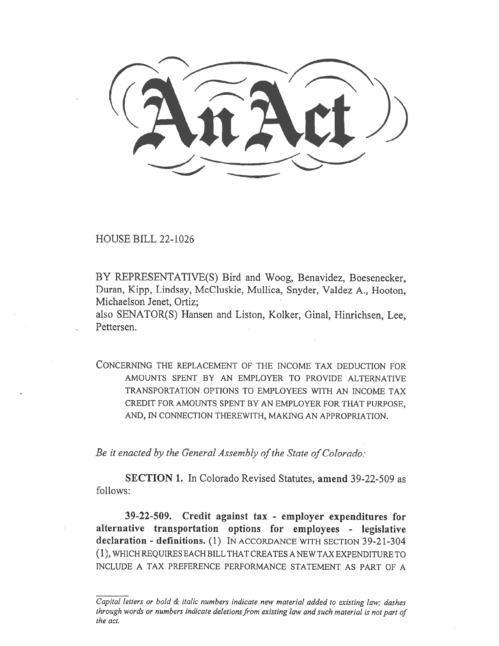HOUSE BILL 22-1026

BY REPRESENTATIVE(S) Bird and Woog, Benavidez, Boesenecker, Duran, Kipp, Lindsay, McCluskie, Mullica, Snyder, Valdez A., Hooton, Michaelson Jenet, Ortiz;

also SENATOR(S) Hansen and Liston, Kolker, Ginal, Hinrichsen, Lee, Pettersen.

CONCERNING THE REPLACEMENT OF THE INCOME TAX DEDUCTION FOR AMOUNTS SPENT BY AN EMPLOYER TO PROVIDE ALTERNATIVE TRANSPORTATION OPTIONS TO EMPLOYEES WITH AN INCOME TAX CREDIT FOR AMOUNTS SPENT BY AN EMPLOYER FOR THAT PURPOSE, AND, IN CONNECTION THEREWITH, MAKING AN APPROPRIATION.

Be it enacted by the General Assembly of the State of Colorado:

SECTION 1. In Colorado Revised Statutes, amend 39-22-509 as follows:

39-22-509. Credit against tax - employer expenditures for alternative transportation options for employees - legislative declaration - definitions. (1) IN ACCORDANCE WITH SECTION 39-21-304 (1), WHICH REQUIRES EACH BILL THAT CREATES A NEW TAX EXPENDITURE TO INCLUDE A TAX PREFERENCE PERFORMANCE STATEMENT AS PART OF A

Capital letters or bold & italic numbers indicate new material added to existing law; dashes through words or numbers indicate deletions from existing law and such material is not part of the act.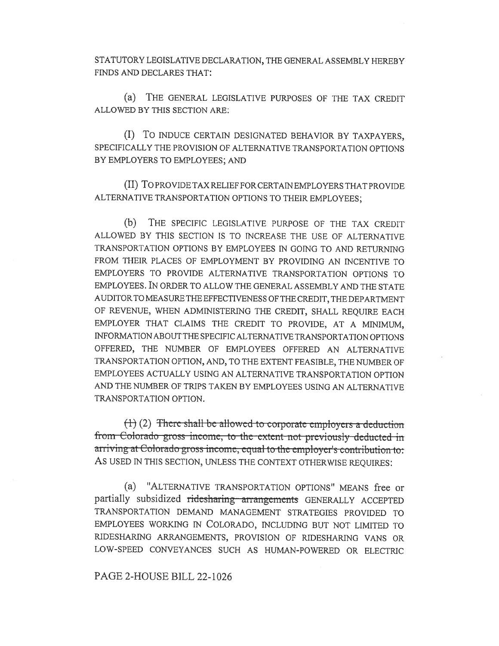STATUTORY LEGISLATIVE DECLARATION, THE GENERAL ASSEMBLY HEREBY FINDS AND DECLARES THAT:

(a) THE GENERAL LEGISLATIVE PURPOSES OF THE TAX CREDIT ALLOWED BY THIS SECTION ARE:

(I) To INDUCE CERTAIN DESIGNATED BEHAVIOR BY TAXPAYERS, SPECIFICALLY THE PROVISION OF ALTERNATIVE TRANSPORTATION OPTIONS BY EMPLOYERS TO EMPLOYEES; AND

(II) To PROVIDE TAX RELIEF FOR CERTAIN EMPLOYERS THAT PROVIDE ALTERNATIVE TRANSPORTATION OPTIONS TO THEIR EMPLOYEES;

(b) THE SPECIFIC LEGISLATIVE PURPOSE OF THE TAX CREDIT ALLOWED BY THIS SECTION IS TO INCREASE THE USE OF ALTERNATIVE TRANSPORTATION OPTIONS BY EMPLOYEES IN GOING TO AND RETURNING FROM THEIR PLACES OF EMPLOYMENT BY PROVIDING AN INCENTIVE TO EMPLOYERS TO PROVIDE ALTERNATIVE TRANSPORTATION OPTIONS TO EMPLOYEES. IN ORDER TO ALLOW THE GENERAL ASSEMBLY AND THE STATE AUDITOR TO MEASURE THE EFFECTIVENESS OF THE CREDIT, THE DEPARTMENT OF REVENUE, WHEN ADMINISTERING THE CREDIT, SHALL REQUIRE EACH EMPLOYER THAT CLAIMS THE CREDIT TO PROVIDE, AT A MINIMUM, INFORMATION ABOUT THE SPECIFIC ALTERNATIVE TRANSPORTATION OPTIONS OFFERED, THE NUMBER OF EMPLOYEES OFFERED AN ALTERNATIVE TRANSPORTATION OPTION, AND, TO THE EXTENT FEASIBLE, THE NUMBER OF EMPLOYEES ACTUALLY USING AN ALTERNATIVE TRANSPORTATION OPTION AND THE NUMBER OF TRIPS TAKEN BY EMPLOYEES USING AN ALTERNATIVE TRANSPORTATION OPTION.

 $(1)$  (2) There shall-be-allowed to corporate employers a deduction from Colorado gross income, to the extent-not previously deducted in arriving at Colorado gross income, equal to the employer's contribution to: AS USED IN THIS SECTION, UNLESS THE CONTEXT OTHERWISE REQUIRES:

(a) "ALTERNATIVE TRANSPORTATION OPTIONS" MEANS free or partially subsidized ridesharing arrangements GENERALLY ACCEPTED TRANSPORTATION DEMAND MANAGEMENT STRATEGIES PROVIDED TO EMPLOYEES WORKING IN COLORADO, INCLUDING BUT NOT LIMITED TO RIDESHARING ARRANGEMENTS, PROVISION OF RIDESHARING VANS OR LOW-SPEED CONVEYANCES SUCH AS HUMAN-POWERED OR ELECTRIC

PAGE 2-HOUSE BILL 22-1026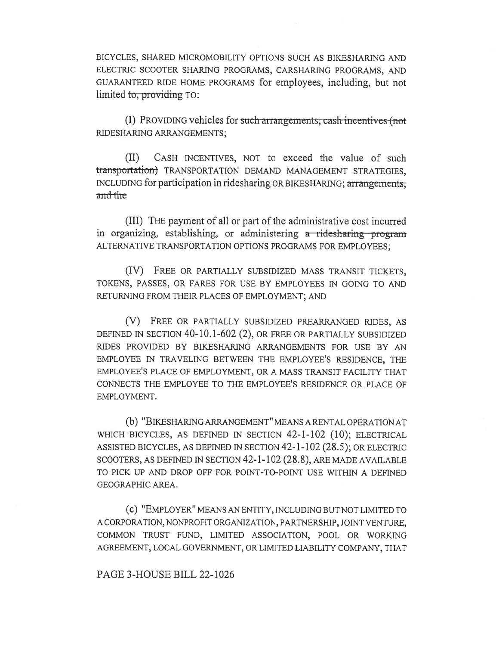BICYCLES, SHARED MICROMOBILITY OPTIONS SUCH AS BIKESHARING AND ELECTRIC SCOOTER SHARING PROGRAMS, CARSHARING PROGRAMS, AND GUARANTEED RIDE HOME PROGRAMS for employees, including, but not limited to, providing TO:

(I) PROVIDING vehicles for such arrangements, cash incentives (not RIDESHARING ARRANGEMENTS;

(II) CASH INCENTIVES, NOT to exceed the value of such transportation) TRANSPORTATION DEMAND MANAGEMENT STRATEGIES, INCLUDING for participation in ridesharing OR BIKESHARING; arrangements, and the

(III) THE payment of all or part of the administrative cost incurred in organizing, establishing, or administering a ridesharing program ALTERNATIVE TRANSPORTATION OPTIONS PROGRAMS FOR EMPLOYEES;

(IV) FREE OR PARTIALLY SUBSIDIZED MASS TRANSIT TICKETS, TOKENS, PASSES, OR FARES FOR USE BY EMPLOYEES IN GOING TO AND RETURNING FROM THEIR PLACES OF EMPLOYMENT; AND

(V) FREE OR PARTIALLY SUBSIDIZED PREARRANGED RIDES, AS DEFINED IN SECTION 40-10.1-602 (2), OR FREE OR PARTIALLY SUBSIDIZED RIDES PROVIDED BY BIKESHARING ARRANGEMENTS FOR USE BY AN EMPLOYEE IN TRAVELING BETWEEN THE EMPLOYEE'S RESIDENCE, THE EMPLOYEE'S PLACE OF EMPLOYMENT, OR A MASS TRANSIT FACILITY THAT CONNECTS THE EMPLOYEE TO THE EMPLOYEE'S RESIDENCE OR PLACE OF EMPLOYMENT.

(b) "B IKESHARING ARRANGEMENT" MEANS A RENTAL OPERATION AT WHICH BICYCLES, AS DEFINED IN SECTION 42-1-102 (10); ELECTRICAL ASSISTED BICYCLES, AS DEFINED IN SECTION 42-1-102 (28.5); OR ELECTRIC SCOOTERS, AS DEFINED IN SECTION 42-1-102 (28.8), ARE MADE AVAILABLE TO PICK UP AND DROP OFF FOR POINT-TO-POINT USE WITHIN A DEFINED GEOGRAPHIC AREA.

(c) "EMPLOYER" MEANS AN ENTITY, INCLUDING BUT NOT LIMITED TO A CORPORATION, NONPROFIT ORGANIZATION, PARTNERSHIP, JOINT VENTURE, COMMON TRUST FUND, LIMITED ASSOCIATION, POOL OR WORKING AGREEMENT, LOCAL GOVERNMENT, OR LIMITED LIABILITY COMPANY, THAT

PAGE 3-HOUSE BILL 22-1026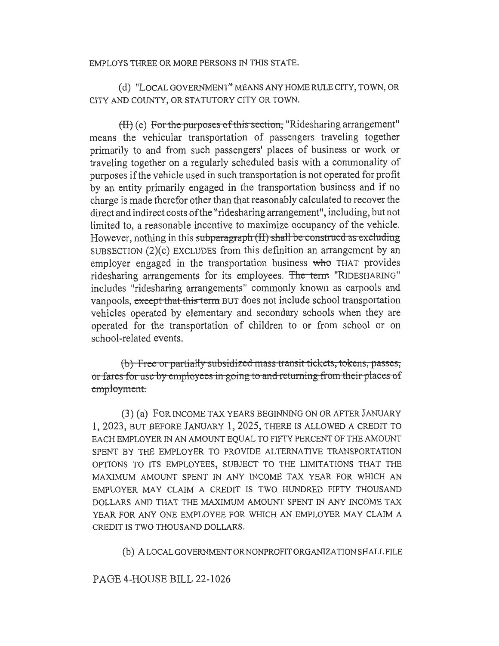## EMPLOYS THREE OR MORE PERSONS IN THIS STATE.

(d) "LOCAL GOVERNMENT" MEANS ANY HOME RULE CITY, TOWN, OR CITY AND COUNTY, OR STATUTORY CITY OR TOWN.

(H) (e) For the purposes of this section, "Ridesharing arrangement" means the vehicular transportation of passengers traveling together primarily to and from such passengers' places of business or work or traveling together on a regularly scheduled basis with a commonality of purposes if the vehicle used in such transportation is not operated for profit by an entity primarily engaged in the transportation business and if no charge is made therefor other than that reasonably calculated to recover the direct and indirect costs of the "ridesharing arrangement", including, but not limited to, a reasonable incentive to maximize occupancy of the vehicle. However, nothing in this subparagraph (II) shall be construed as excluding SUBSECTION (2)(c) EXCLUDES from this definition an arrangement by an employer engaged in the transportation business who THAT provides ridesharing arrangements for its employees. The term "RIDESHARING" includes "ridesharing arrangements" commonly known as carpools and vanpools, except that this term BUT does not include school transportation vehicles operated by elementary and secondary schools when they are operated for the transportation of children to or from school or on school-related events.

(b) Free or partially subsidized mass transit tickets, tokens, passes, or fares for use by employees in going to and returning from their places of employment

(3) (a) FOR INCOME TAX YEARS BEGINNING ON OR AFTER JANUARY 1, 2023, BUT BEFORE JANUARY 1, 2025, THERE IS ALLOWED A CREDIT TO EACH EMPLOYER IN AN AMOUNT EQUAL TO FIFTY PERCENT OF THE AMOUNT SPENT BY THE EMPLOYER TO PROVIDE ALTERNATIVE TRANSPORTATION OPTIONS TO ITS EMPLOYEES, SUBJECT TO THE LIMITATIONS THAT THE MAXIMUM AMOUNT SPENT IN ANY INCOME TAX YEAR FOR WHICH AN EMPLOYER MAY CLAIM A CREDIT IS TWO HUNDRED FIFTY THOUSAND DOLLARS AND THAT THE MAXIMUM AMOUNT SPENT IN ANY INCOME TAX YEAR FOR ANY ONE EMPLOYEE FOR WHICH AN EMPLOYER MAY CLAIM A CREDIT IS TWO THOUSAND DOLLARS.

(b) A LOCAL GOVERNMENT OR NONPROFIT ORGANIZATION SHALL FILE

## PAGE 4-HOUSE BILL 22-1026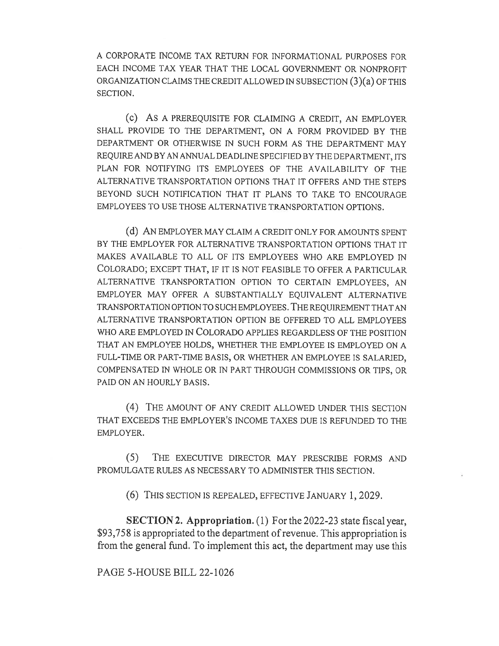A CORPORATE INCOME TAX RETURN FOR INFORMATIONAL PURPOSES FOR EACH INCOME TAX YEAR THAT THE LOCAL GOVERNMENT OR NONPROFIT ORGANIZATION CLAIMS THE CREDIT ALLOWED IN SUBSECTION (3)(a) OF THIS SECTION.

(c) AS A PREREQUISITE FOR CLAIMING A CREDIT, AN EMPLOYER SHALL PROVIDE TO THE DEPARTMENT, ON A FORM PROVIDED BY THE DEPARTMENT OR OTHERWISE IN SUCH FORM AS THE DEPARTMENT MAY REQUIRE AND BY AN ANNUAL DEADLINE SPECIFIED BY THE DEPARTMENT, ITS PLAN FOR NOTIFYING ITS EMPLOYEES OF THE AVAILABILITY OF THE ALTERNATIVE TRANSPORTATION OPTIONS THAT IT OFFERS AND THE STEPS BEYOND SUCH NOTIFICATION THAT IT PLANS TO TAKE TO ENCOURAGE EMPLOYEES TO USE THOSE ALTERNATIVE TRANSPORTATION OPTIONS.

(d) AN EMPLOYER MAY CLAIM A CREDIT ONLY FOR AMOUNTS SPENT BY THE EMPLOYER FOR ALTERNATIVE TRANSPORTATION OPTIONS THAT IT MAKES AVAILABLE TO ALL OF ITS EMPLOYEES WHO ARE EMPLOYED IN COLORADO; EXCEPT THAT, IF IT IS NOT FEASIBLE TO OFFER A PARTICULAR ALTERNATIVE TRANSPORTATION OPTION TO CERTAIN EMPLOYEES, AN EMPLOYER MAY OFFER A SUBSTANTIALLY EQUIVALENT ALTERNATIVE TRANSPORTATION OPTION TO SUCH EMPLOYEES. THE REQUIREMENT THAT AN ALTERNATIVE TRANSPORTATION OPTION BE OFFERED TO ALL EMPLOYEES WHO ARE EMPLOYED IN COLORADO APPLIES REGARDLESS OF THE POSITION THAT AN EMPLOYEE HOLDS, WHETHER THE EMPLOYEE IS EMPLOYED ON A FULL-TIME OR PART-TIME BASIS, OR WHETHER AN EMPLOYEE IS SALARIED, COMPENSATED IN WHOLE OR IN PART THROUGH COMMISSIONS OR TIPS, OR PAID ON AN HOURLY BASIS.

(4) THE AMOUNT OF ANY CREDIT ALLOWED UNDER THIS SECTION THAT EXCEEDS THE EMPLOYER'S INCOME TAXES DUE IS REFUNDED TO THE EMPLOYER.

(5) THE EXECUTIVE DIRECTOR MAY PRESCRIBE FORMS AND PROMULGATE RULES AS NECESSARY TO ADMINISTER THIS SECTION.

(6) THIS SECTION IS REPEALED, EFFECTIVE JANUARY 1, 2029.

SECTION 2. Appropriation. (1) For the 2022-23 state fiscal year, \$93,758 is appropriated to the department of revenue. This appropriation is from the general fund. To implement this act, the department may use this

PAGE 5-HOUSE BILL 22-1026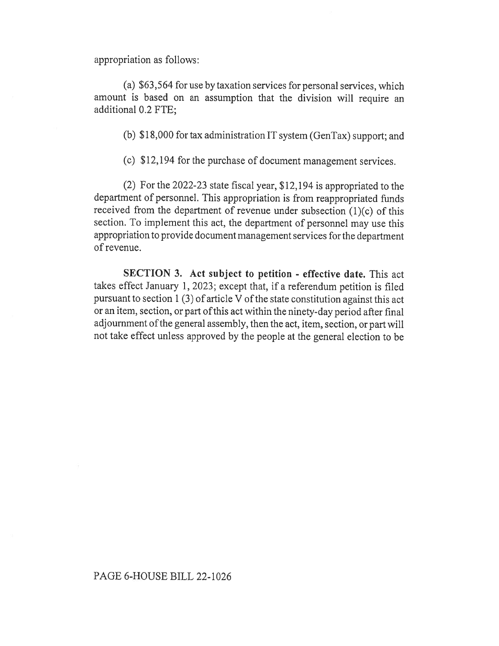appropriation as follows:

(a) \$63,564 for use by taxation services for personal services, which amount is based on an assumption that the division will require an additional 0.2 FTE;

(b) \$18,000 for tax administration IT system (GenTax) support; and

(c) \$12,194 for the purchase of document management services.

(2) For the 2022-23 state fiscal year, \$12,194 is appropriated to the department of personnel. This appropriation is from reappropriated funds received from the department of revenue under subsection (1)(c) of this section. To implement this act, the department of personnel may use this appropriation to provide document management services for the department of revenue.

SECTION 3. Act subject to petition - effective date. This act takes effect January 1, 2023; except that, if a referendum petition is filed pursuant to section 1 (3) of article V of the state constitution against this act or an item, section, or part of this act within the ninety-day period after final adjournment of the general assembly, then the act, item, section, or part will not take effect unless approved by the people at the general election to be